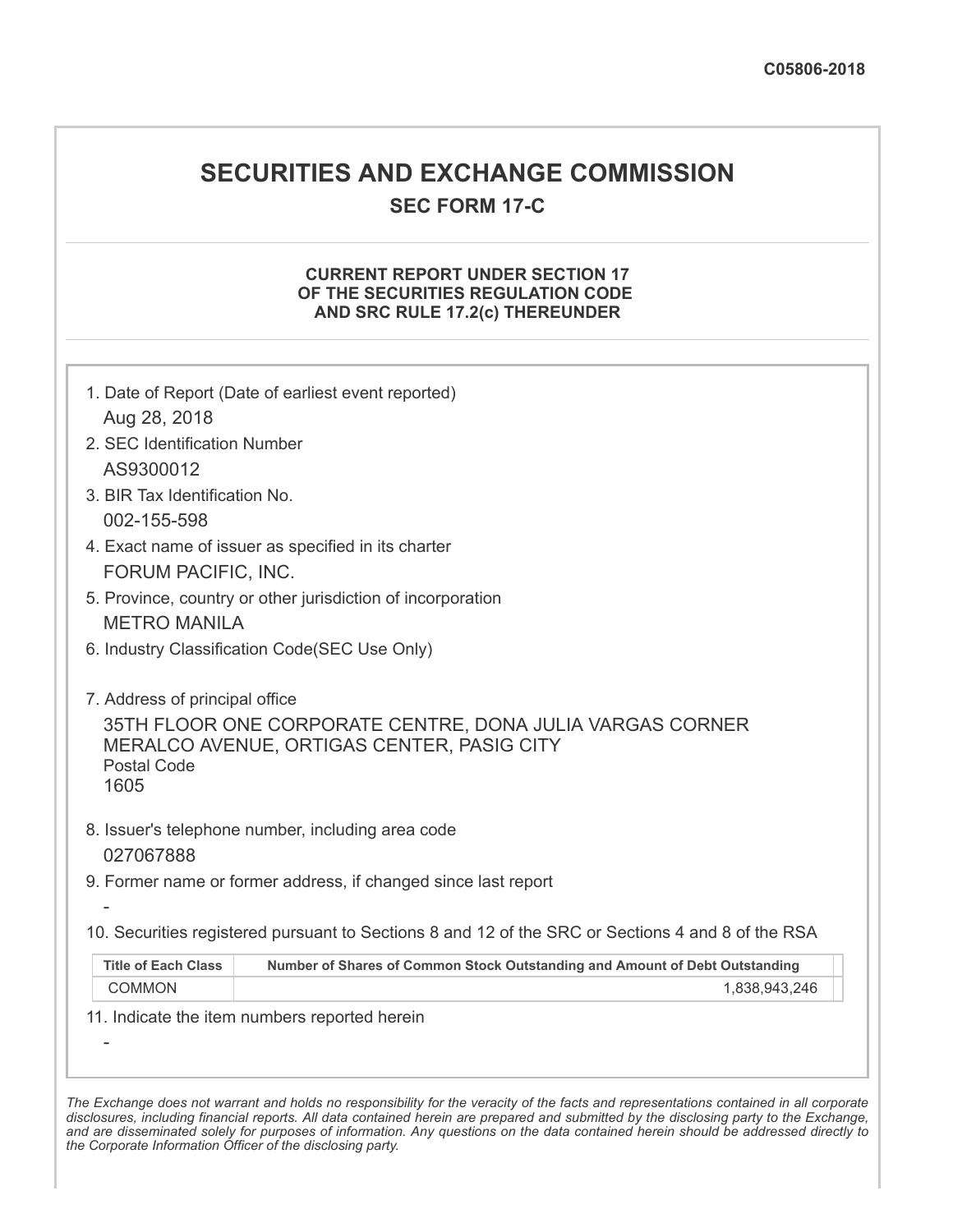## **SECURITIES AND EXCHANGE COMMISSION**

**SEC FORM 17-C**

## **CURRENT REPORT UNDER SECTION 17 OF THE SECURITIES REGULATION CODE AND SRC RULE 17.2(c) THEREUNDER**

|                                                              | 1. Date of Report (Date of earliest event reported)                                                     |
|--------------------------------------------------------------|---------------------------------------------------------------------------------------------------------|
| Aug 28, 2018<br>2. SEC Identification Number                 |                                                                                                         |
| AS9300012                                                    |                                                                                                         |
| 3. BIR Tax Identification No.                                |                                                                                                         |
| 002-155-598                                                  |                                                                                                         |
|                                                              | 4. Exact name of issuer as specified in its charter                                                     |
| FORUM PACIFIC, INC.                                          |                                                                                                         |
|                                                              | 5. Province, country or other jurisdiction of incorporation                                             |
| <b>METRO MANILA</b>                                          |                                                                                                         |
|                                                              | 6. Industry Classification Code(SEC Use Only)                                                           |
| 7. Address of principal office<br><b>Postal Code</b><br>1605 | 35TH FLOOR ONE CORPORATE CENTRE, DONA JULIA VARGAS CORNER<br>MERALCO AVENUE, ORTIGAS CENTER, PASIG CITY |
| 027067888                                                    | 8. Issuer's telephone number, including area code                                                       |
|                                                              | 9. Former name or former address, if changed since last report                                          |
|                                                              |                                                                                                         |
|                                                              | 10. Securities registered pursuant to Sections 8 and 12 of the SRC or Sections 4 and 8 of the RSA       |
| <b>Title of Each Class</b>                                   | Number of Shares of Common Stock Outstanding and Amount of Debt Outstanding                             |
| <b>COMMON</b>                                                | 1,838,943,246                                                                                           |
|                                                              | 11. Indicate the item numbers reported herein                                                           |
|                                                              |                                                                                                         |
|                                                              |                                                                                                         |

The Exchange does not warrant and holds no responsibility for the veracity of the facts and representations contained in all corporate disclosures, including financial reports. All data contained herein are prepared and submitted by the disclosing party to the Exchange, and are disseminated solely for purposes of information. Any questions on the data contained herein should be addressed directly to *the Corporate Information Officer of the disclosing party.*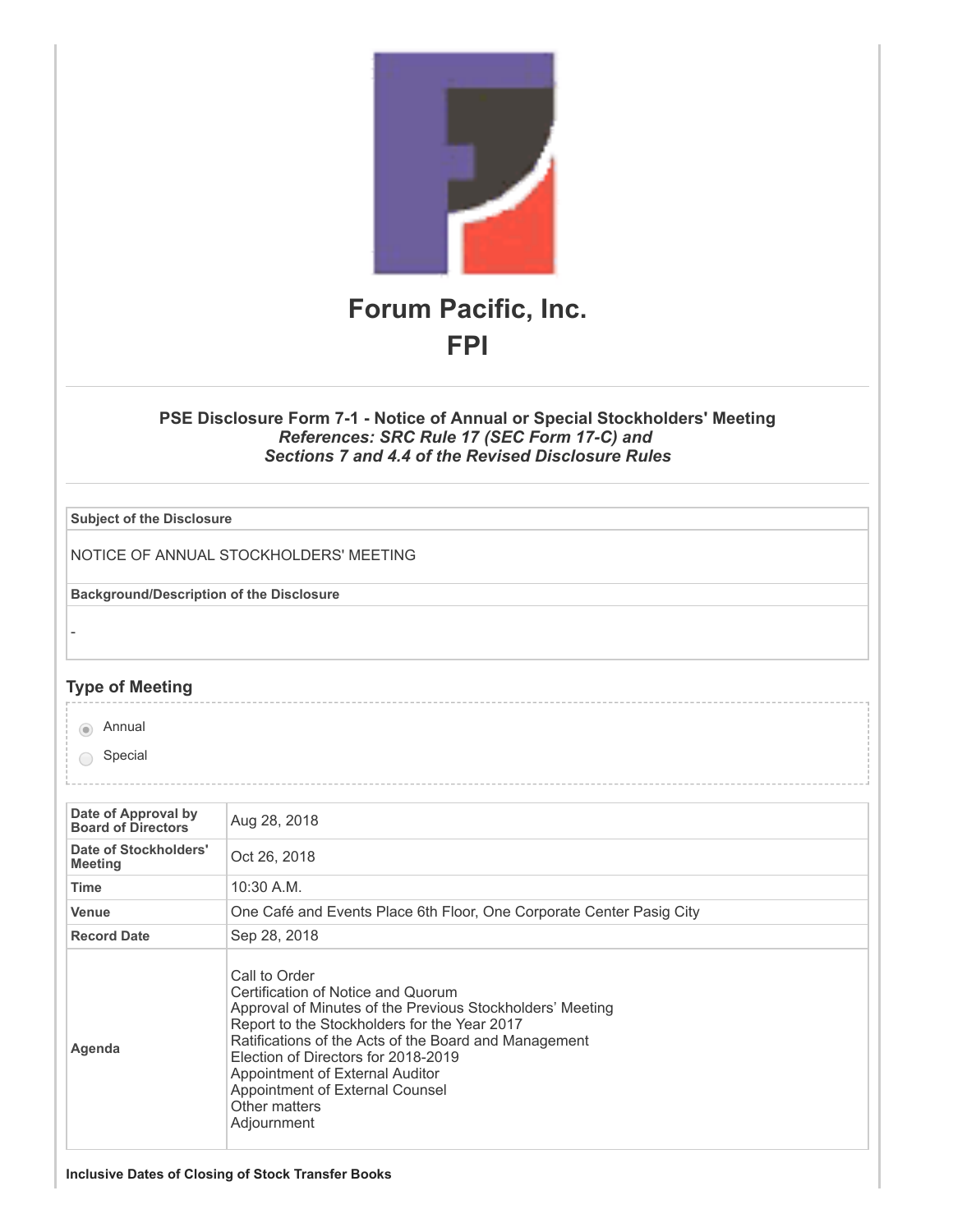

## **PSE Disclosure Form 7-1 - Notice of Annual or Special Stockholders' Meeting** *References: SRC Rule 17 (SEC Form 17-C) and Sections 7 and 4.4 of the Revised Disclosure Rules*

| <b>Subject of the Disclosure</b>                |                                                                                                                                                                                                                                                                                                                                                                        |
|-------------------------------------------------|------------------------------------------------------------------------------------------------------------------------------------------------------------------------------------------------------------------------------------------------------------------------------------------------------------------------------------------------------------------------|
|                                                 |                                                                                                                                                                                                                                                                                                                                                                        |
|                                                 | NOTICE OF ANNUAL STOCKHOLDERS' MEETING                                                                                                                                                                                                                                                                                                                                 |
| <b>Background/Description of the Disclosure</b> |                                                                                                                                                                                                                                                                                                                                                                        |
|                                                 |                                                                                                                                                                                                                                                                                                                                                                        |
|                                                 |                                                                                                                                                                                                                                                                                                                                                                        |
| <b>Type of Meeting</b>                          |                                                                                                                                                                                                                                                                                                                                                                        |
| Annual<br>$\circledcirc$                        |                                                                                                                                                                                                                                                                                                                                                                        |
| Special                                         |                                                                                                                                                                                                                                                                                                                                                                        |
|                                                 |                                                                                                                                                                                                                                                                                                                                                                        |
| Date of Approval by                             |                                                                                                                                                                                                                                                                                                                                                                        |
| <b>Board of Directors</b>                       | Aug 28, 2018                                                                                                                                                                                                                                                                                                                                                           |
| Date of Stockholders'<br><b>Meeting</b>         | Oct 26, 2018                                                                                                                                                                                                                                                                                                                                                           |
| <b>Time</b>                                     | 10:30 A.M.                                                                                                                                                                                                                                                                                                                                                             |
| <b>Venue</b>                                    | One Café and Events Place 6th Floor, One Corporate Center Pasig City                                                                                                                                                                                                                                                                                                   |
| <b>Record Date</b>                              | Sep 28, 2018                                                                                                                                                                                                                                                                                                                                                           |
| Agenda                                          | Call to Order<br>Certification of Notice and Quorum<br>Approval of Minutes of the Previous Stockholders' Meeting<br>Report to the Stockholders for the Year 2017<br>Ratifications of the Acts of the Board and Management<br>Election of Directors for 2018-2019<br>Appointment of External Auditor<br>Appointment of External Counsel<br>Other matters<br>Adjournment |